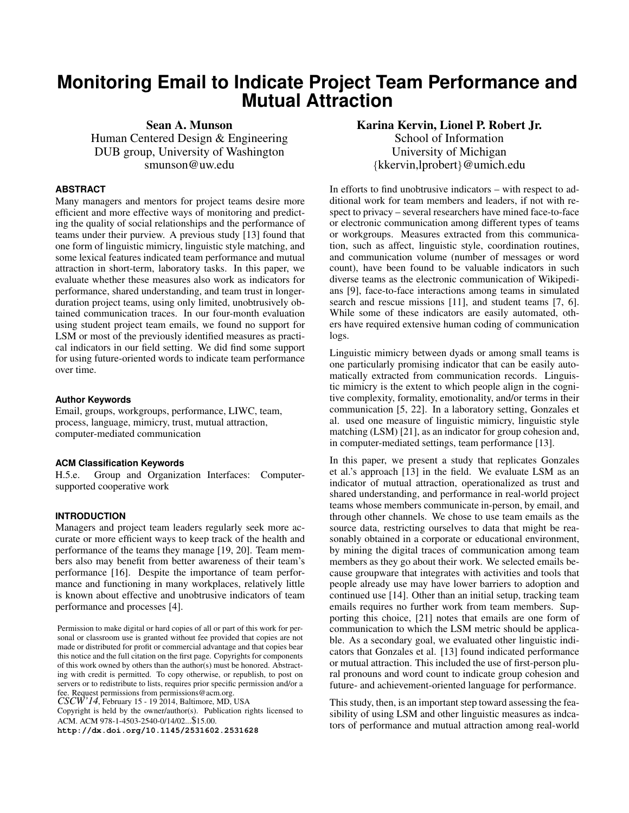# **Monitoring Email to Indicate Project Team Performance and Mutual Attraction**

Sean A. Munson Human Centered Design & Engineering DUB group, University of Washington smunson@uw.edu

# **ABSTRACT**

Many managers and mentors for project teams desire more efficient and more effective ways of monitoring and predicting the quality of social relationships and the performance of teams under their purview. A previous study [\[13\]](#page-6-0) found that one form of linguistic mimicry, linguistic style matching, and some lexical features indicated team performance and mutual attraction in short-term, laboratory tasks. In this paper, we evaluate whether these measures also work as indicators for performance, shared understanding, and team trust in longerduration project teams, using only limited, unobtrusively obtained communication traces. In our four-month evaluation using student project team emails, we found no support for LSM or most of the previously identified measures as practical indicators in our field setting. We did find some support for using future-oriented words to indicate team performance over time.

#### **Author Keywords**

Email, groups, workgroups, performance, LIWC, team, process, language, mimicry, trust, mutual attraction, computer-mediated communication

#### **ACM Classification Keywords**

H.5.e. Group and Organization Interfaces: Computersupported cooperative work

#### **INTRODUCTION**

Managers and project team leaders regularly seek more accurate or more efficient ways to keep track of the health and performance of the teams they manage [\[19,](#page-6-1) [20\]](#page-6-2). Team members also may benefit from better awareness of their team's performance [\[16\]](#page-6-3). Despite the importance of team performance and functioning in many workplaces, relatively little is known about effective and unobtrusive indicators of team performance and processes [\[4\]](#page-6-4).

*CSCW'14*, February 15 - 19 2014, Baltimore, MD, USA

Copyright is held by the owner/author(s). Publication rights licensed to ACM. ACM 978-1-4503-2540-0/14/02...\$15.00.

**<http://dx.doi.org/10.1145/2531602.2531628>**

# Karina Kervin, Lionel P. Robert Jr. School of Information University of Michigan {kkervin,lprobert}@umich.edu

In efforts to find unobtrusive indicators – with respect to additional work for team members and leaders, if not with respect to privacy – several researchers have mined face-to-face or electronic communication among different types of teams or workgroups. Measures extracted from this communication, such as affect, linguistic style, coordination routines, and communication volume (number of messages or word count), have been found to be valuable indicators in such diverse teams as the electronic communication of Wikipedians [\[9\]](#page-6-5), face-to-face interactions among teams in simulated search and rescue missions [\[11\]](#page-6-6), and student teams [\[7,](#page-6-7) [6\]](#page-6-8). While some of these indicators are easily automated, others have required extensive human coding of communication logs.

Linguistic mimicry between dyads or among small teams is one particularly promising indicator that can be easily automatically extracted from communication records. Linguistic mimicry is the extent to which people align in the cognitive complexity, formality, emotionality, and/or terms in their communication [\[5,](#page-6-9) [22\]](#page-6-10). In a laboratory setting, Gonzales et al. used one measure of linguistic mimicry, linguistic style matching (LSM) [\[21\]](#page-6-11), as an indicator for group cohesion and, in computer-mediated settings, team performance [\[13\]](#page-6-0).

In this paper, we present a study that replicates Gonzales et al.'s approach [\[13\]](#page-6-0) in the field. We evaluate LSM as an indicator of mutual attraction, operationalized as trust and shared understanding, and performance in real-world project teams whose members communicate in-person, by email, and through other channels. We chose to use team emails as the source data, restricting ourselves to data that might be reasonably obtained in a corporate or educational environment, by mining the digital traces of communication among team members as they go about their work. We selected emails because groupware that integrates with activities and tools that people already use may have lower barriers to adoption and continued use [\[14\]](#page-6-12). Other than an initial setup, tracking team emails requires no further work from team members. Supporting this choice, [\[21\]](#page-6-11) notes that emails are one form of communication to which the LSM metric should be applicable. As a secondary goal, we evaluated other linguistic indicators that Gonzales et al. [\[13\]](#page-6-0) found indicated performance or mutual attraction. This included the use of first-person plural pronouns and word count to indicate group cohesion and future- and achievement-oriented language for performance.

This study, then, is an important step toward assessing the feasibility of using LSM and other linguistic measures as indcators of performance and mutual attraction among real-world

Permission to make digital or hard copies of all or part of this work for personal or classroom use is granted without fee provided that copies are not made or distributed for profit or commercial advantage and that copies bear this notice and the full citation on the first page. Copyrights for components of this work owned by others than the author(s) must be honored. Abstracting with credit is permitted. To copy otherwise, or republish, to post on servers or to redistribute to lists, requires prior specific permission and/or a fee. Request permissions from permissions@acm.org.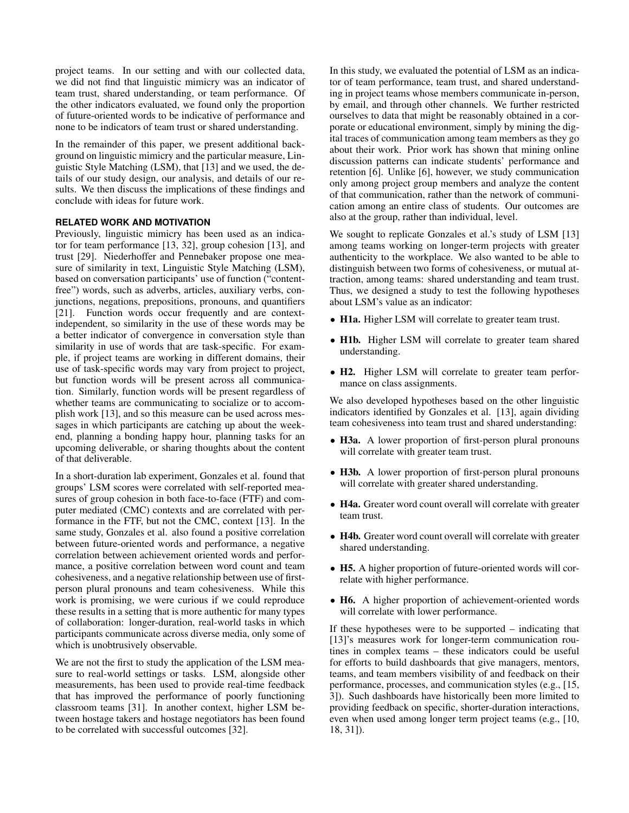project teams. In our setting and with our collected data, we did not find that linguistic mimicry was an indicator of team trust, shared understanding, or team performance. Of the other indicators evaluated, we found only the proportion of future-oriented words to be indicative of performance and none to be indicators of team trust or shared understanding.

In the remainder of this paper, we present additional background on linguistic mimicry and the particular measure, Linguistic Style Matching (LSM), that [\[13\]](#page-6-0) and we used, the details of our study design, our analysis, and details of our results. We then discuss the implications of these findings and conclude with ideas for future work.

# **RELATED WORK AND MOTIVATION**

Previously, linguistic mimicry has been used as an indicator for team performance [\[13,](#page-6-0) [32\]](#page-7-0), group cohesion [\[13\]](#page-6-0), and trust [\[29\]](#page-7-1). Niederhoffer and Pennebaker propose one measure of similarity in text, Linguistic Style Matching (LSM), based on conversation participants' use of function ("contentfree") words, such as adverbs, articles, auxiliary verbs, conjunctions, negations, prepositions, pronouns, and quantifiers [\[21\]](#page-6-11). Function words occur frequently and are contextindependent, so similarity in the use of these words may be a better indicator of convergence in conversation style than similarity in use of words that are task-specific. For example, if project teams are working in different domains, their use of task-specific words may vary from project to project, but function words will be present across all communication. Similarly, function words will be present regardless of whether teams are communicating to socialize or to accomplish work [\[13\]](#page-6-0), and so this measure can be used across messages in which participants are catching up about the weekend, planning a bonding happy hour, planning tasks for an upcoming deliverable, or sharing thoughts about the content of that deliverable.

In a short-duration lab experiment, Gonzales et al. found that groups' LSM scores were correlated with self-reported measures of group cohesion in both face-to-face (FTF) and computer mediated (CMC) contexts and are correlated with performance in the FTF, but not the CMC, context [\[13\]](#page-6-0). In the same study, Gonzales et al. also found a positive correlation between future-oriented words and performance, a negative correlation between achievement oriented words and performance, a positive correlation between word count and team cohesiveness, and a negative relationship between use of firstperson plural pronouns and team cohesiveness. While this work is promising, we were curious if we could reproduce these results in a setting that is more authentic for many types of collaboration: longer-duration, real-world tasks in which participants communicate across diverse media, only some of which is unobtrusively observable.

We are not the first to study the application of the LSM measure to real-world settings or tasks. LSM, alongside other measurements, has been used to provide real-time feedback that has improved the performance of poorly functioning classroom teams [\[31\]](#page-7-2). In another context, higher LSM between hostage takers and hostage negotiators has been found to be correlated with successful outcomes [\[32\]](#page-7-0).

In this study, we evaluated the potential of LSM as an indicator of team performance, team trust, and shared understanding in project teams whose members communicate in-person, by email, and through other channels. We further restricted ourselves to data that might be reasonably obtained in a corporate or educational environment, simply by mining the digital traces of communication among team members as they go about their work. Prior work has shown that mining online discussion patterns can indicate students' performance and retention [\[6\]](#page-6-8). Unlike [\[6\]](#page-6-8), however, we study communication only among project group members and analyze the content of that communication, rather than the network of communication among an entire class of students. Our outcomes are also at the group, rather than individual, level.

We sought to replicate Gonzales et al.'s study of LSM [\[13\]](#page-6-0) among teams working on longer-term projects with greater authenticity to the workplace. We also wanted to be able to distinguish between two forms of cohesiveness, or mutual attraction, among teams: shared understanding and team trust. Thus, we designed a study to test the following hypotheses about LSM's value as an indicator:

- H1a. Higher LSM will correlate to greater team trust.
- H1b. Higher LSM will correlate to greater team shared understanding.
- H2. Higher LSM will correlate to greater team performance on class assignments.

We also developed hypotheses based on the other linguistic indicators identified by Gonzales et al. [\[13\]](#page-6-0), again dividing team cohesiveness into team trust and shared understanding:

- H3a. A lower proportion of first-person plural pronouns will correlate with greater team trust.
- H3b. A lower proportion of first-person plural pronouns will correlate with greater shared understanding.
- H4a. Greater word count overall will correlate with greater team trust.
- H4b. Greater word count overall will correlate with greater shared understanding.
- H5. A higher proportion of future-oriented words will correlate with higher performance.
- H6. A higher proportion of achievement-oriented words will correlate with lower performance.

If these hypotheses were to be supported – indicating that [\[13\]](#page-6-0)'s measures work for longer-term communication routines in complex teams – these indicators could be useful for efforts to build dashboards that give managers, mentors, teams, and team members visibility of and feedback on their performance, processes, and communication styles (e.g., [\[15,](#page-6-13) [3\]](#page-6-14)). Such dashboards have historically been more limited to providing feedback on specific, shorter-duration interactions, even when used among longer term project teams (e.g., [\[10,](#page-6-15) [18,](#page-6-16) [31\]](#page-7-2)).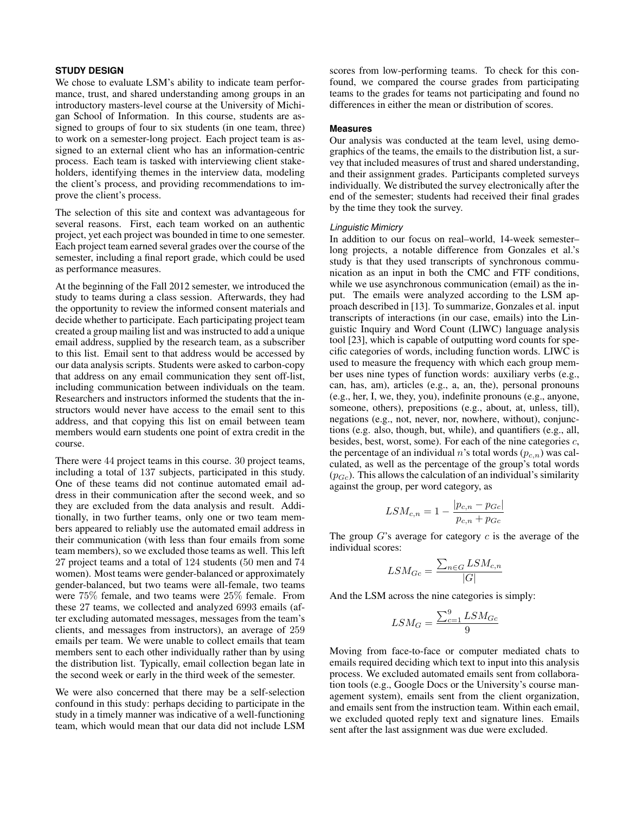#### **STUDY DESIGN**

We chose to evaluate LSM's ability to indicate team performance, trust, and shared understanding among groups in an introductory masters-level course at the University of Michigan School of Information. In this course, students are assigned to groups of four to six students (in one team, three) to work on a semester-long project. Each project team is assigned to an external client who has an information-centric process. Each team is tasked with interviewing client stakeholders, identifying themes in the interview data, modeling the client's process, and providing recommendations to improve the client's process.

The selection of this site and context was advantageous for several reasons. First, each team worked on an authentic project, yet each project was bounded in time to one semester. Each project team earned several grades over the course of the semester, including a final report grade, which could be used as performance measures.

At the beginning of the Fall 2012 semester, we introduced the study to teams during a class session. Afterwards, they had the opportunity to review the informed consent materials and decide whether to participate. Each participating project team created a group mailing list and was instructed to add a unique email address, supplied by the research team, as a subscriber to this list. Email sent to that address would be accessed by our data analysis scripts. Students were asked to carbon-copy that address on any email communication they sent off-list, including communication between individuals on the team. Researchers and instructors informed the students that the instructors would never have access to the email sent to this address, and that copying this list on email between team members would earn students one point of extra credit in the course.

There were 44 project teams in this course. 30 project teams, including a total of 137 subjects, participated in this study. One of these teams did not continue automated email address in their communication after the second week, and so they are excluded from the data analysis and result. Additionally, in two further teams, only one or two team members appeared to reliably use the automated email address in their communication (with less than four emails from some team members), so we excluded those teams as well. This left 27 project teams and a total of 124 students (50 men and 74 women). Most teams were gender-balanced or approximately gender-balanced, but two teams were all-female, two teams were 75% female, and two teams were 25% female. From these 27 teams, we collected and analyzed 6993 emails (after excluding automated messages, messages from the team's clients, and messages from instructors), an average of 259 emails per team. We were unable to collect emails that team members sent to each other individually rather than by using the distribution list. Typically, email collection began late in the second week or early in the third week of the semester.

We were also concerned that there may be a self-selection confound in this study: perhaps deciding to participate in the study in a timely manner was indicative of a well-functioning team, which would mean that our data did not include LSM

scores from low-performing teams. To check for this confound, we compared the course grades from participating teams to the grades for teams not participating and found no differences in either the mean or distribution of scores.

## **Measures**

Our analysis was conducted at the team level, using demographics of the teams, the emails to the distribution list, a survey that included measures of trust and shared understanding, and their assignment grades. Participants completed surveys individually. We distributed the survey electronically after the end of the semester; students had received their final grades by the time they took the survey.

#### *Linguistic Mimicry*

In addition to our focus on real–world, 14-week semester– long projects, a notable difference from Gonzales et al.'s study is that they used transcripts of synchronous communication as an input in both the CMC and FTF conditions, while we use asynchronous communication (email) as the input. The emails were analyzed according to the LSM approach described in [\[13\]](#page-6-0). To summarize, Gonzales et al. input transcripts of interactions (in our case, emails) into the Linguistic Inquiry and Word Count (LIWC) language analysis tool [\[23\]](#page-6-17), which is capable of outputting word counts for specific categories of words, including function words. LIWC is used to measure the frequency with which each group member uses nine types of function words: auxiliary verbs (e.g., can, has, am), articles (e.g., a, an, the), personal pronouns (e.g., her, I, we, they, you), indefinite pronouns (e.g., anyone, someone, others), prepositions (e.g., about, at, unless, till), negations (e.g., not, never, nor, nowhere, without), conjunctions (e.g. also, though, but, while), and quantifiers (e.g., all, besides, best, worst, some). For each of the nine categories  $c$ , the percentage of an individual n's total words  $(p_{c,n})$  was calculated, as well as the percentage of the group's total words  $(p_{Gc})$ . This allows the calculation of an individual's similarity against the group, per word category, as

$$
LSM_{c,n} = 1 - \frac{|p_{c,n} - p_{Gc}|}{p_{c,n} + p_{Gc}}
$$

The group  $G$ 's average for category  $c$  is the average of the individual scores:

$$
LSM_{Gc} = \frac{\sum_{n \in G}LSM_{c,n}}{|G|}
$$

And the LSM across the nine categories is simply:

$$
LSM_G = \frac{\sum_{c=1}^{9}LSM_{Gc}}{9}
$$

Moving from face-to-face or computer mediated chats to emails required deciding which text to input into this analysis process. We excluded automated emails sent from collaboration tools (e.g., Google Docs or the University's course management system), emails sent from the client organization, and emails sent from the instruction team. Within each email, we excluded quoted reply text and signature lines. Emails sent after the last assignment was due were excluded.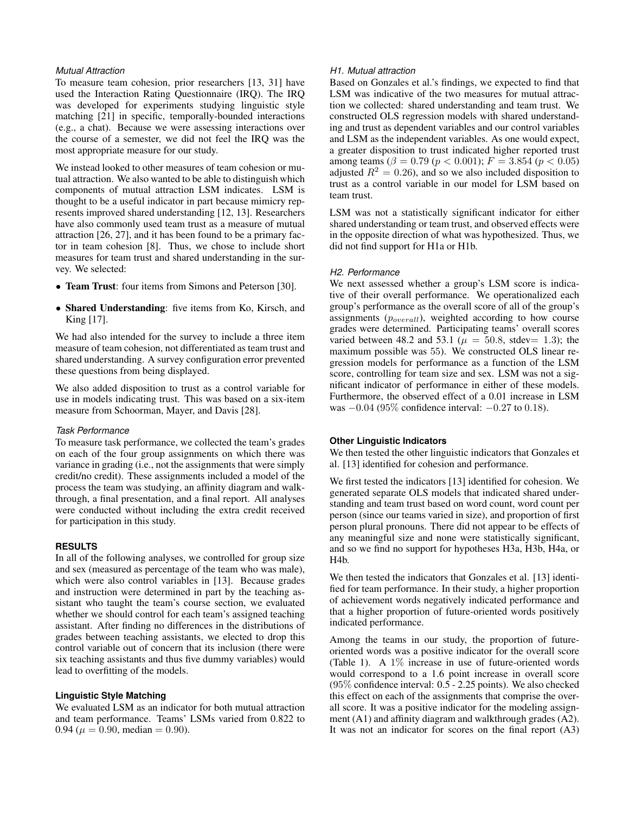#### *Mutual Attraction*

To measure team cohesion, prior researchers [\[13,](#page-6-0) [31\]](#page-7-2) have used the Interaction Rating Questionnaire (IRQ). The IRQ was developed for experiments studying linguistic style matching [\[21\]](#page-6-11) in specific, temporally-bounded interactions (e.g., a chat). Because we were assessing interactions over the course of a semester, we did not feel the IRQ was the most appropriate measure for our study.

We instead looked to other measures of team cohesion or mutual attraction. We also wanted to be able to distinguish which components of mutual attraction LSM indicates. LSM is thought to be a useful indicator in part because mimicry represents improved shared understanding [\[12,](#page-6-18) [13\]](#page-6-0). Researchers have also commonly used team trust as a measure of mutual attraction [\[26,](#page-7-3) [27\]](#page-7-4), and it has been found to be a primary factor in team cohesion [\[8\]](#page-6-19). Thus, we chose to include short measures for team trust and shared understanding in the survey. We selected:

- Team Trust: four items from Simons and Peterson [\[30\]](#page-7-5).
- Shared Understanding: five items from Ko, Kirsch, and King [\[17\]](#page-6-20).

We had also intended for the survey to include a three item measure of team cohesion, not differentiated as team trust and shared understanding. A survey configuration error prevented these questions from being displayed.

We also added disposition to trust as a control variable for use in models indicating trust. This was based on a six-item measure from Schoorman, Mayer, and Davis [\[28\]](#page-7-6).

#### *Task Performance*

To measure task performance, we collected the team's grades on each of the four group assignments on which there was variance in grading (i.e., not the assignments that were simply credit/no credit). These assignments included a model of the process the team was studying, an affinity diagram and walkthrough, a final presentation, and a final report. All analyses were conducted without including the extra credit received for participation in this study.

#### **RESULTS**

In all of the following analyses, we controlled for group size and sex (measured as percentage of the team who was male), which were also control variables in [\[13\]](#page-6-0). Because grades and instruction were determined in part by the teaching assistant who taught the team's course section, we evaluated whether we should control for each team's assigned teaching assistant. After finding no differences in the distributions of grades between teaching assistants, we elected to drop this control variable out of concern that its inclusion (there were six teaching assistants and thus five dummy variables) would lead to overfitting of the models.

#### **Linguistic Style Matching**

We evaluated LSM as an indicator for both mutual attraction and team performance. Teams' LSMs varied from 0.822 to 0.94 ( $\mu = 0.90$ , median = 0.90).

#### *H1. Mutual attraction*

Based on Gonzales et al.'s findings, we expected to find that LSM was indicative of the two measures for mutual attraction we collected: shared understanding and team trust. We constructed OLS regression models with shared understanding and trust as dependent variables and our control variables and LSM as the independent variables. As one would expect, a greater disposition to trust indicated higher reported trust among teams ( $\beta = 0.79$  ( $p < 0.001$ );  $F = 3.854$  ( $p < 0.05$ ) adjusted  $R^2 = 0.26$ ), and so we also included disposition to trust as a control variable in our model for LSM based on team trust.

LSM was not a statistically significant indicator for either shared understanding or team trust, and observed effects were in the opposite direction of what was hypothesized. Thus, we did not find support for H1a or H1b.

#### *H2. Performance*

We next assessed whether a group's LSM score is indicative of their overall performance. We operationalized each group's performance as the overall score of all of the group's assignments  $(p_{overall})$ , weighted according to how course grades were determined. Participating teams' overall scores varied between 48.2 and 53.1 ( $\mu = 50.8$ , stdev= 1.3); the maximum possible was 55). We constructed OLS linear regression models for performance as a function of the LSM score, controlling for team size and sex. LSM was not a significant indicator of performance in either of these models. Furthermore, the observed effect of a 0.01 increase in LSM was −0.04 (95% confidence interval: −0.27 to 0.18).

#### **Other Linguistic Indicators**

We then tested the other linguistic indicators that Gonzales et al. [\[13\]](#page-6-0) identified for cohesion and performance.

We first tested the indicators [\[13\]](#page-6-0) identified for cohesion. We generated separate OLS models that indicated shared understanding and team trust based on word count, word count per person (since our teams varied in size), and proportion of first person plural pronouns. There did not appear to be effects of any meaningful size and none were statistically significant, and so we find no support for hypotheses H3a, H3b, H4a, or H4b.

We then tested the indicators that Gonzales et al. [\[13\]](#page-6-0) identified for team performance. In their study, a higher proportion of achievement words negatively indicated performance and that a higher proportion of future-oriented words positively indicated performance.

Among the teams in our study, the proportion of futureoriented words was a positive indicator for the overall score (Table [1\)](#page-4-0). A 1% increase in use of future-oriented words would correspond to a 1.6 point increase in overall score (95% confidence interval: 0.5 - 2.25 points). We also checked this effect on each of the assignments that comprise the overall score. It was a positive indicator for the modeling assignment (A1) and affinity diagram and walkthrough grades (A2). It was not an indicator for scores on the final report (A3)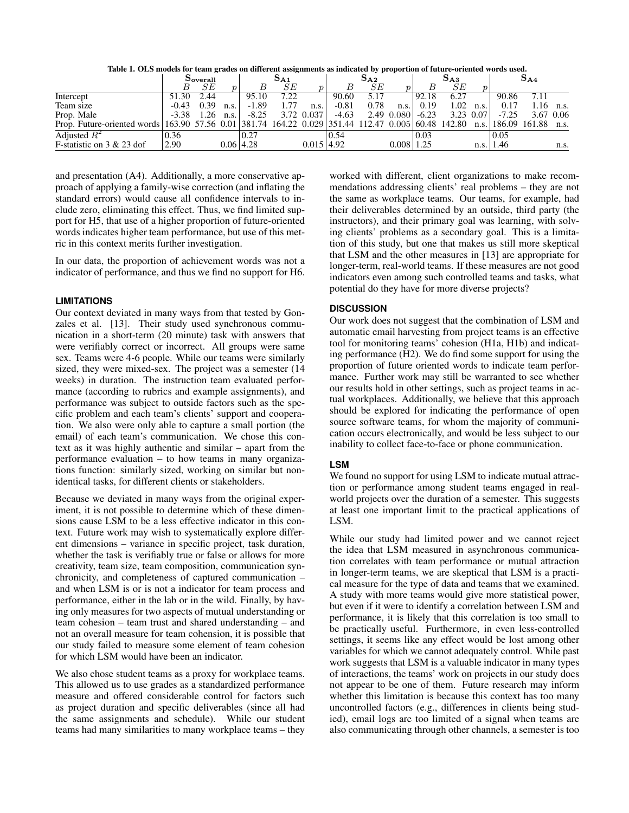|                                                                                                    | D <sub>overall</sub> |      |      | $S_{A1}$  |        |            | $S_{A2}$ |      |                                   | S <sub>A3</sub> |           |      | $S_{A4}$           |     |           |
|----------------------------------------------------------------------------------------------------|----------------------|------|------|-----------|--------|------------|----------|------|-----------------------------------|-----------------|-----------|------|--------------------|-----|-----------|
|                                                                                                    |                      | SE   |      |           | SE     |            |          | SЕ   |                                   |                 | SЕ        |      |                    |     |           |
| Intercept                                                                                          | 51.30                | 2.44 |      | 95.10     | 7.22   |            | 90.60    | 5.17 |                                   | 92.18           | 6.27      |      | 90.86              |     |           |
| Team size                                                                                          | $-0.43$              | 0.39 | n.s. | $-1.89$   | . . 77 | n.s.       | $-0.81$  | 0.78 | n.s.                              | 0.19            | 1.02      | n.s. | 0.17               | .16 | n.s.      |
| Prop. Male                                                                                         | $-3.38$              | 1.26 | n.s. | $-8.25$   |        | 3.72 0.037 | $-4.63$  |      | $2.49 \left  0.080 \right $ -6.23 |                 | 3.23 0.07 |      | $-7.25$            |     | 3.67 0.06 |
| Prop. Future-oriented words 163.90 57.56 0.01 381.74 164.22 0.029 351.44 112.47 0.005 60.48 142.80 |                      |      |      |           |        |            |          |      |                                   |                 |           | n.s. | 186.09 161.88 n.s. |     |           |
| Adjusted $R^2$                                                                                     | 0.36                 |      |      | 0.27      |        |            | 0.54     |      |                                   | 0.03            |           |      | 0.05               |     |           |
| F-statistic on $3 & 23$ dof                                                                        | 2.90                 |      |      | 0.0614.28 |        | 0.01514.92 |          |      | $0.008$                           | 1.25            |           |      | $n.s.$ 1.46        |     | n.s.      |

<span id="page-4-0"></span>Table 1. OLS models for team grades on different assignments as indicated by proportion of future-oriented words used.

and presentation (A4). Additionally, a more conservative approach of applying a family-wise correction (and inflating the standard errors) would cause all confidence intervals to include zero, eliminating this effect. Thus, we find limited support for H5, that use of a higher proportion of future-oriented words indicates higher team performance, but use of this metric in this context merits further investigation.

In our data, the proportion of achievement words was not a indicator of performance, and thus we find no support for H6.

## **LIMITATIONS**

Our context deviated in many ways from that tested by Gon-zales et al. [\[13\]](#page-6-0). Their study used synchronous communication in a short-term (20 minute) task with answers that were verifiably correct or incorrect. All groups were same sex. Teams were 4-6 people. While our teams were similarly sized, they were mixed-sex. The project was a semester (14 weeks) in duration. The instruction team evaluated performance (according to rubrics and example assignments), and performance was subject to outside factors such as the specific problem and each team's clients' support and cooperation. We also were only able to capture a small portion (the email) of each team's communication. We chose this context as it was highly authentic and similar – apart from the performance evaluation – to how teams in many organizations function: similarly sized, working on similar but nonidentical tasks, for different clients or stakeholders.

Because we deviated in many ways from the original experiment, it is not possible to determine which of these dimensions cause LSM to be a less effective indicator in this context. Future work may wish to systematically explore different dimensions – variance in specific project, task duration, whether the task is verifiably true or false or allows for more creativity, team size, team composition, communication synchronicity, and completeness of captured communication – and when LSM is or is not a indicator for team process and performance, either in the lab or in the wild. Finally, by having only measures for two aspects of mutual understanding or team cohesion – team trust and shared understanding – and not an overall measure for team cohension, it is possible that our study failed to measure some element of team cohesion for which LSM would have been an indicator.

We also chose student teams as a proxy for workplace teams. This allowed us to use grades as a standardized performance measure and offered considerable control for factors such as project duration and specific deliverables (since all had the same assignments and schedule). While our student teams had many similarities to many workplace teams – they

worked with different, client organizations to make recommendations addressing clients' real problems – they are not the same as workplace teams. Our teams, for example, had their deliverables determined by an outside, third party (the instructors), and their primary goal was learning, with solving clients' problems as a secondary goal. This is a limitation of this study, but one that makes us still more skeptical that LSM and the other measures in [\[13\]](#page-6-0) are appropriate for longer-term, real-world teams. If these measures are not good indicators even among such controlled teams and tasks, what potential do they have for more diverse projects?

# **DISCUSSION**

Our work does not suggest that the combination of LSM and automatic email harvesting from project teams is an effective tool for monitoring teams' cohesion (H1a, H1b) and indicating performance (H2). We do find some support for using the proportion of future oriented words to indicate team performance. Further work may still be warranted to see whether our results hold in other settings, such as project teams in actual workplaces. Additionally, we believe that this approach should be explored for indicating the performance of open source software teams, for whom the majority of communication occurs electronically, and would be less subject to our inability to collect face-to-face or phone communication.

#### **LSM**

We found no support for using LSM to indicate mutual attraction or performance among student teams engaged in realworld projects over the duration of a semester. This suggests at least one important limit to the practical applications of LSM.

While our study had limited power and we cannot reject the idea that LSM measured in asynchronous communication correlates with team performance or mutual attraction in longer-term teams, we are skeptical that LSM is a practical measure for the type of data and teams that we examined. A study with more teams would give more statistical power, but even if it were to identify a correlation between LSM and performance, it is likely that this correlation is too small to be practically useful. Furthermore, in even less-controlled settings, it seems like any effect would be lost among other variables for which we cannot adequately control. While past work suggests that LSM is a valuable indicator in many types of interactions, the teams' work on projects in our study does not appear to be one of them. Future research may inform whether this limitation is because this context has too many uncontrolled factors (e.g., differences in clients being studied), email logs are too limited of a signal when teams are also communicating through other channels, a semester is too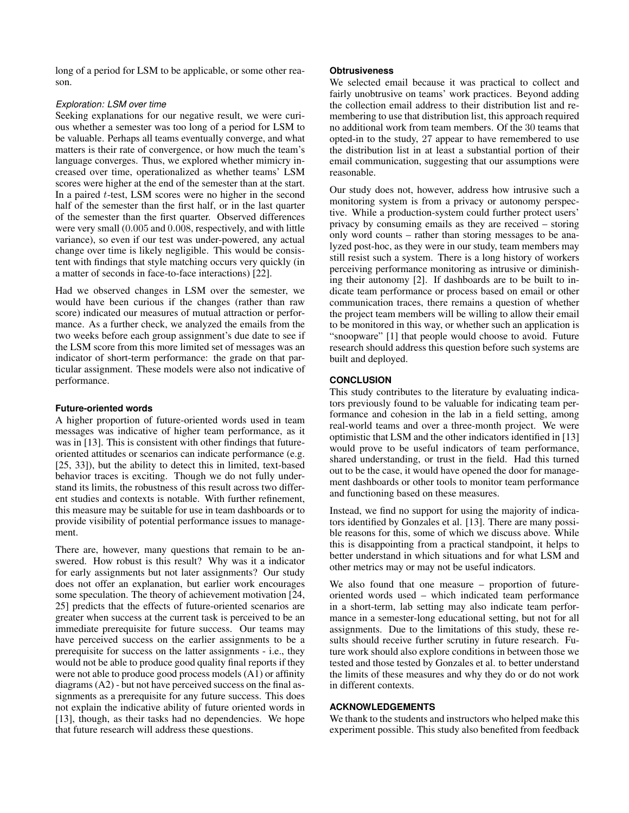long of a period for LSM to be applicable, or some other reason.

# *Exploration: LSM over time*

Seeking explanations for our negative result, we were curious whether a semester was too long of a period for LSM to be valuable. Perhaps all teams eventually converge, and what matters is their rate of convergence, or how much the team's language converges. Thus, we explored whether mimicry increased over time, operationalized as whether teams' LSM scores were higher at the end of the semester than at the start. In a paired t-test, LSM scores were no higher in the second half of the semester than the first half, or in the last quarter of the semester than the first quarter. Observed differences were very small (0.005 and 0.008, respectively, and with little variance), so even if our test was under-powered, any actual change over time is likely negligible. This would be consistent with findings that style matching occurs very quickly (in a matter of seconds in face-to-face interactions) [\[22\]](#page-6-10).

Had we observed changes in LSM over the semester, we would have been curious if the changes (rather than raw score) indicated our measures of mutual attraction or performance. As a further check, we analyzed the emails from the two weeks before each group assignment's due date to see if the LSM score from this more limited set of messages was an indicator of short-term performance: the grade on that particular assignment. These models were also not indicative of performance.

# **Future-oriented words**

A higher proportion of future-oriented words used in team messages was indicative of higher team performance, as it was in [\[13\]](#page-6-0). This is consistent with other findings that futureoriented attitudes or scenarios can indicate performance (e.g. [\[25,](#page-6-21) [33\]](#page-7-7)), but the ability to detect this in limited, text-based behavior traces is exciting. Though we do not fully understand its limits, the robustness of this result across two different studies and contexts is notable. With further refinement, this measure may be suitable for use in team dashboards or to provide visibility of potential performance issues to management.

There are, however, many questions that remain to be answered. How robust is this result? Why was it a indicator for early assignments but not later assignments? Our study does not offer an explanation, but earlier work encourages some speculation. The theory of achievement motivation [\[24,](#page-6-22) [25\]](#page-6-21) predicts that the effects of future-oriented scenarios are greater when success at the current task is perceived to be an immediate prerequisite for future success. Our teams may have perceived success on the earlier assignments to be a prerequisite for success on the latter assignments - i.e., they would not be able to produce good quality final reports if they were not able to produce good process models (A1) or affinity diagrams (A2) - but not have perceived success on the final assignments as a prerequisite for any future success. This does not explain the indicative ability of future oriented words in [\[13\]](#page-6-0), though, as their tasks had no dependencies. We hope that future research will address these questions.

# **Obtrusiveness**

We selected email because it was practical to collect and fairly unobtrusive on teams' work practices. Beyond adding the collection email address to their distribution list and remembering to use that distribution list, this approach required no additional work from team members. Of the 30 teams that opted-in to the study, 27 appear to have remembered to use the distribution list in at least a substantial portion of their email communication, suggesting that our assumptions were reasonable.

Our study does not, however, address how intrusive such a monitoring system is from a privacy or autonomy perspective. While a production-system could further protect users' privacy by consuming emails as they are received – storing only word counts – rather than storing messages to be analyzed post-hoc, as they were in our study, team members may still resist such a system. There is a long history of workers perceiving performance monitoring as intrusive or diminishing their autonomy [\[2\]](#page-6-23). If dashboards are to be built to indicate team performance or process based on email or other communication traces, there remains a question of whether the project team members will be willing to allow their email to be monitored in this way, or whether such an application is "snoopware" [\[1\]](#page-6-24) that people would choose to avoid. Future research should address this question before such systems are built and deployed.

# **CONCLUSION**

This study contributes to the literature by evaluating indicators previously found to be valuable for indicating team performance and cohesion in the lab in a field setting, among real-world teams and over a three-month project. We were optimistic that LSM and the other indicators identified in [\[13\]](#page-6-0) would prove to be useful indicators of team performance, shared understanding, or trust in the field. Had this turned out to be the case, it would have opened the door for management dashboards or other tools to monitor team performance and functioning based on these measures.

Instead, we find no support for using the majority of indicators identified by Gonzales et al. [\[13\]](#page-6-0). There are many possible reasons for this, some of which we discuss above. While this is disappointing from a practical standpoint, it helps to better understand in which situations and for what LSM and other metrics may or may not be useful indicators.

We also found that one measure – proportion of futureoriented words used – which indicated team performance in a short-term, lab setting may also indicate team performance in a semester-long educational setting, but not for all assignments. Due to the limitations of this study, these results should receive further scrutiny in future research. Future work should also explore conditions in between those we tested and those tested by Gonzales et al. to better understand the limits of these measures and why they do or do not work in different contexts.

# **ACKNOWLEDGEMENTS**

We thank to the students and instructors who helped make this experiment possible. This study also benefited from feedback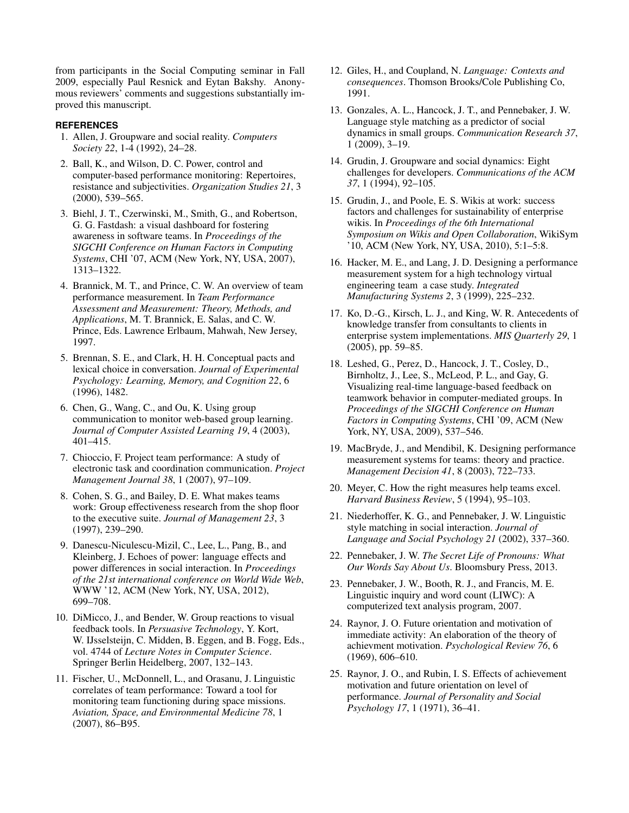from participants in the Social Computing seminar in Fall 2009, especially Paul Resnick and Eytan Bakshy. Anonymous reviewers' comments and suggestions substantially improved this manuscript.

# <span id="page-6-24"></span>**REFERENCES**

- 1. Allen, J. Groupware and social reality. *Computers Society 22*, 1-4 (1992), 24–28.
- <span id="page-6-23"></span>2. Ball, K., and Wilson, D. C. Power, control and computer-based performance monitoring: Repertoires, resistance and subjectivities. *Organization Studies 21*, 3 (2000), 539–565.
- <span id="page-6-14"></span>3. Biehl, J. T., Czerwinski, M., Smith, G., and Robertson, G. G. Fastdash: a visual dashboard for fostering awareness in software teams. In *Proceedings of the SIGCHI Conference on Human Factors in Computing Systems*, CHI '07, ACM (New York, NY, USA, 2007), 1313–1322.
- <span id="page-6-4"></span>4. Brannick, M. T., and Prince, C. W. An overview of team performance measurement. In *Team Performance Assessment and Measurement: Theory, Methods, and Applications*, M. T. Brannick, E. Salas, and C. W. Prince, Eds. Lawrence Erlbaum, Mahwah, New Jersey, 1997.
- <span id="page-6-9"></span>5. Brennan, S. E., and Clark, H. H. Conceptual pacts and lexical choice in conversation. *Journal of Experimental Psychology: Learning, Memory, and Cognition 22*, 6 (1996), 1482.
- <span id="page-6-8"></span>6. Chen, G., Wang, C., and Ou, K. Using group communication to monitor web-based group learning. *Journal of Computer Assisted Learning 19*, 4 (2003), 401–415.
- <span id="page-6-7"></span>7. Chioccio, F. Project team performance: A study of electronic task and coordination communication. *Project Management Journal 38*, 1 (2007), 97–109.
- <span id="page-6-19"></span>8. Cohen, S. G., and Bailey, D. E. What makes teams work: Group effectiveness research from the shop floor to the executive suite. *Journal of Management 23*, 3 (1997), 239–290.
- <span id="page-6-5"></span>9. Danescu-Niculescu-Mizil, C., Lee, L., Pang, B., and Kleinberg, J. Echoes of power: language effects and power differences in social interaction. In *Proceedings of the 21st international conference on World Wide Web*, WWW '12, ACM (New York, NY, USA, 2012), 699–708.
- <span id="page-6-15"></span>10. DiMicco, J., and Bender, W. Group reactions to visual feedback tools. In *Persuasive Technology*, Y. Kort, W. IJsselsteijn, C. Midden, B. Eggen, and B. Fogg, Eds., vol. 4744 of *Lecture Notes in Computer Science*. Springer Berlin Heidelberg, 2007, 132–143.
- <span id="page-6-6"></span>11. Fischer, U., McDonnell, L., and Orasanu, J. Linguistic correlates of team performance: Toward a tool for monitoring team functioning during space missions. *Aviation, Space, and Environmental Medicine 78*, 1 (2007), 86–B95.
- <span id="page-6-18"></span>12. Giles, H., and Coupland, N. *Language: Contexts and consequences*. Thomson Brooks/Cole Publishing Co, 1991.
- <span id="page-6-0"></span>13. Gonzales, A. L., Hancock, J. T., and Pennebaker, J. W. Language style matching as a predictor of social dynamics in small groups. *Communication Research 37*, 1 (2009), 3–19.
- <span id="page-6-12"></span>14. Grudin, J. Groupware and social dynamics: Eight challenges for developers. *Communications of the ACM 37*, 1 (1994), 92–105.
- <span id="page-6-13"></span>15. Grudin, J., and Poole, E. S. Wikis at work: success factors and challenges for sustainability of enterprise wikis. In *Proceedings of the 6th International Symposium on Wikis and Open Collaboration*, WikiSym '10, ACM (New York, NY, USA, 2010), 5:1–5:8.
- <span id="page-6-3"></span>16. Hacker, M. E., and Lang, J. D. Designing a performance measurement system for a high technology virtual engineering team a case study. *Integrated Manufacturing Systems 2*, 3 (1999), 225–232.
- <span id="page-6-20"></span>17. Ko, D.-G., Kirsch, L. J., and King, W. R. Antecedents of knowledge transfer from consultants to clients in enterprise system implementations. *MIS Quarterly 29*, 1 (2005), pp. 59–85.
- <span id="page-6-16"></span>18. Leshed, G., Perez, D., Hancock, J. T., Cosley, D., Birnholtz, J., Lee, S., McLeod, P. L., and Gay, G. Visualizing real-time language-based feedback on teamwork behavior in computer-mediated groups. In *Proceedings of the SIGCHI Conference on Human Factors in Computing Systems*, CHI '09, ACM (New York, NY, USA, 2009), 537–546.
- <span id="page-6-1"></span>19. MacBryde, J., and Mendibil, K. Designing performance measurement systems for teams: theory and practice. *Management Decision 41*, 8 (2003), 722–733.
- <span id="page-6-2"></span>20. Meyer, C. How the right measures help teams excel. *Harvard Business Review*, 5 (1994), 95–103.
- <span id="page-6-11"></span>21. Niederhoffer, K. G., and Pennebaker, J. W. Linguistic style matching in social interaction. *Journal of Language and Social Psychology 21* (2002), 337–360.
- <span id="page-6-10"></span>22. Pennebaker, J. W. *The Secret Life of Pronouns: What Our Words Say About Us*. Bloomsbury Press, 2013.
- <span id="page-6-17"></span>23. Pennebaker, J. W., Booth, R. J., and Francis, M. E. Linguistic inquiry and word count (LIWC): A computerized text analysis program, 2007.
- <span id="page-6-22"></span>24. Raynor, J. O. Future orientation and motivation of immediate activity: An elaboration of the theory of achievment motivation. *Psychological Review 76*, 6 (1969), 606–610.
- <span id="page-6-21"></span>25. Raynor, J. O., and Rubin, I. S. Effects of achievement motivation and future orientation on level of performance. *Journal of Personality and Social Psychology 17*, 1 (1971), 36–41.